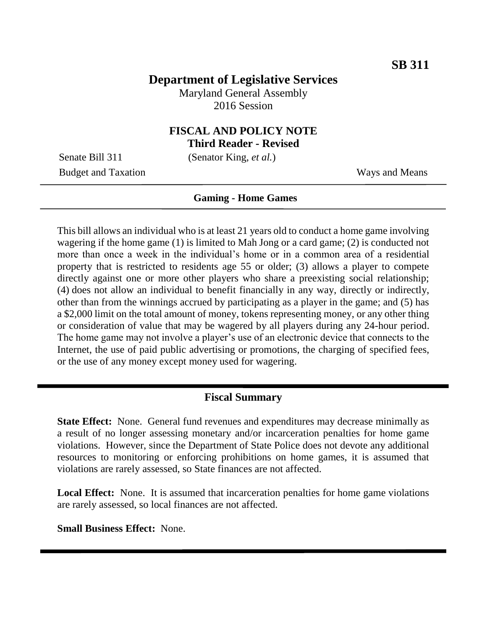## **Department of Legislative Services**

Maryland General Assembly 2016 Session

# **FISCAL AND POLICY NOTE**

**Third Reader - Revised**

Senate Bill 311 (Senator King, *et al.*)

Budget and Taxation Ways and Means

#### **Gaming - Home Games**

This bill allows an individual who is at least 21 years old to conduct a home game involving wagering if the home game (1) is limited to Mah Jong or a card game; (2) is conducted not more than once a week in the individual's home or in a common area of a residential property that is restricted to residents age 55 or older; (3) allows a player to compete directly against one or more other players who share a preexisting social relationship; (4) does not allow an individual to benefit financially in any way, directly or indirectly, other than from the winnings accrued by participating as a player in the game; and (5) has a \$2,000 limit on the total amount of money, tokens representing money, or any other thing or consideration of value that may be wagered by all players during any 24-hour period. The home game may not involve a player's use of an electronic device that connects to the Internet, the use of paid public advertising or promotions, the charging of specified fees, or the use of any money except money used for wagering.

### **Fiscal Summary**

**State Effect:** None. General fund revenues and expenditures may decrease minimally as a result of no longer assessing monetary and/or incarceration penalties for home game violations. However, since the Department of State Police does not devote any additional resources to monitoring or enforcing prohibitions on home games, it is assumed that violations are rarely assessed, so State finances are not affected.

**Local Effect:** None. It is assumed that incarceration penalties for home game violations are rarely assessed, so local finances are not affected.

**Small Business Effect:** None.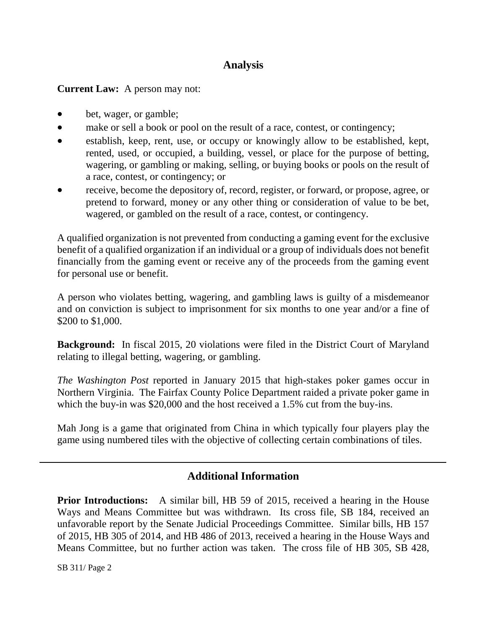## **Analysis**

**Current Law:** A person may not:

- bet, wager, or gamble;
- make or sell a book or pool on the result of a race, contest, or contingency;
- establish, keep, rent, use, or occupy or knowingly allow to be established, kept, rented, used, or occupied, a building, vessel, or place for the purpose of betting, wagering, or gambling or making, selling, or buying books or pools on the result of a race, contest, or contingency; or
- receive, become the depository of, record, register, or forward, or propose, agree, or pretend to forward, money or any other thing or consideration of value to be bet, wagered, or gambled on the result of a race, contest, or contingency.

A qualified organization is not prevented from conducting a gaming event for the exclusive benefit of a qualified organization if an individual or a group of individuals does not benefit financially from the gaming event or receive any of the proceeds from the gaming event for personal use or benefit.

A person who violates betting, wagering, and gambling laws is guilty of a misdemeanor and on conviction is subject to imprisonment for six months to one year and/or a fine of \$200 to \$1,000.

**Background:** In fiscal 2015, 20 violations were filed in the District Court of Maryland relating to illegal betting, wagering, or gambling.

*The Washington Post* reported in January 2015 that high-stakes poker games occur in Northern Virginia. The Fairfax County Police Department raided a private poker game in which the buy-in was \$20,000 and the host received a 1.5% cut from the buy-ins.

Mah Jong is a game that originated from China in which typically four players play the game using numbered tiles with the objective of collecting certain combinations of tiles.

## **Additional Information**

**Prior Introductions:** A similar bill, HB 59 of 2015, received a hearing in the House Ways and Means Committee but was withdrawn. Its cross file, SB 184, received an unfavorable report by the Senate Judicial Proceedings Committee. Similar bills, HB 157 of 2015, HB 305 of 2014, and HB 486 of 2013, received a hearing in the House Ways and Means Committee, but no further action was taken. The cross file of HB 305, SB 428,